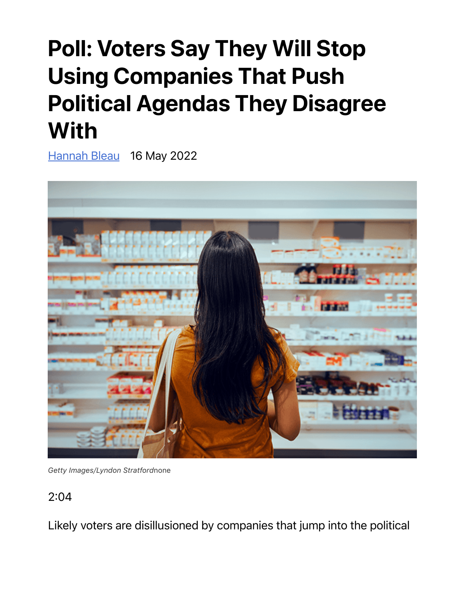## Poll: Voters Say They Will Stop Using Companies That Push Political Agendas They Disagree **With**

Hannah Bleau 16 May 2022



*Getty Images/Lyndon Stratford*none

2:04

Likely voters are disillusioned by companies that jump into the political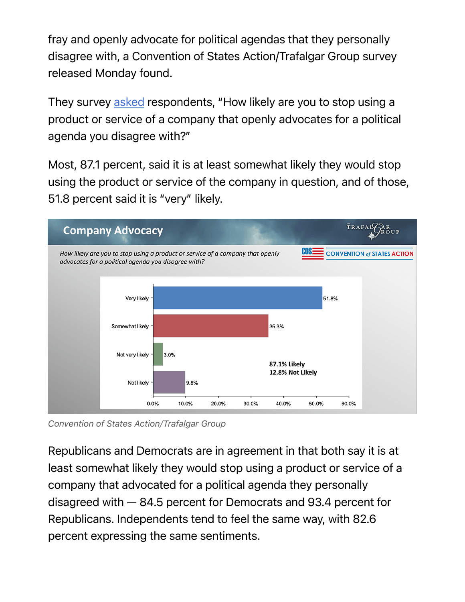fray and openly advocate for political agendas that they personally disagree with, a Convention of States Action/Trafalgar Group survey released Monday found.

They survey asked respondents, "How likely are you to stop using a product or service of a company that openly advocates for a political agenda you disagree with?"

Most, 87.1 percent, said it is at least somewhat likely they would stop using the product or service of the company in question, and of those, 51.8 percent said it is "very" likely.



*Convention of States Action/Trafalgar Group*

Republicans and Democrats are in agreement in that both say it is at least somewhat likely they would stop using a product or service of a company that advocated for a political agenda they personally disagreed with — 84.5 percent for Democrats and 93.4 percent for Republicans. Independents tend to feel the same way, with 82.6 percent expressing the same sentiments.